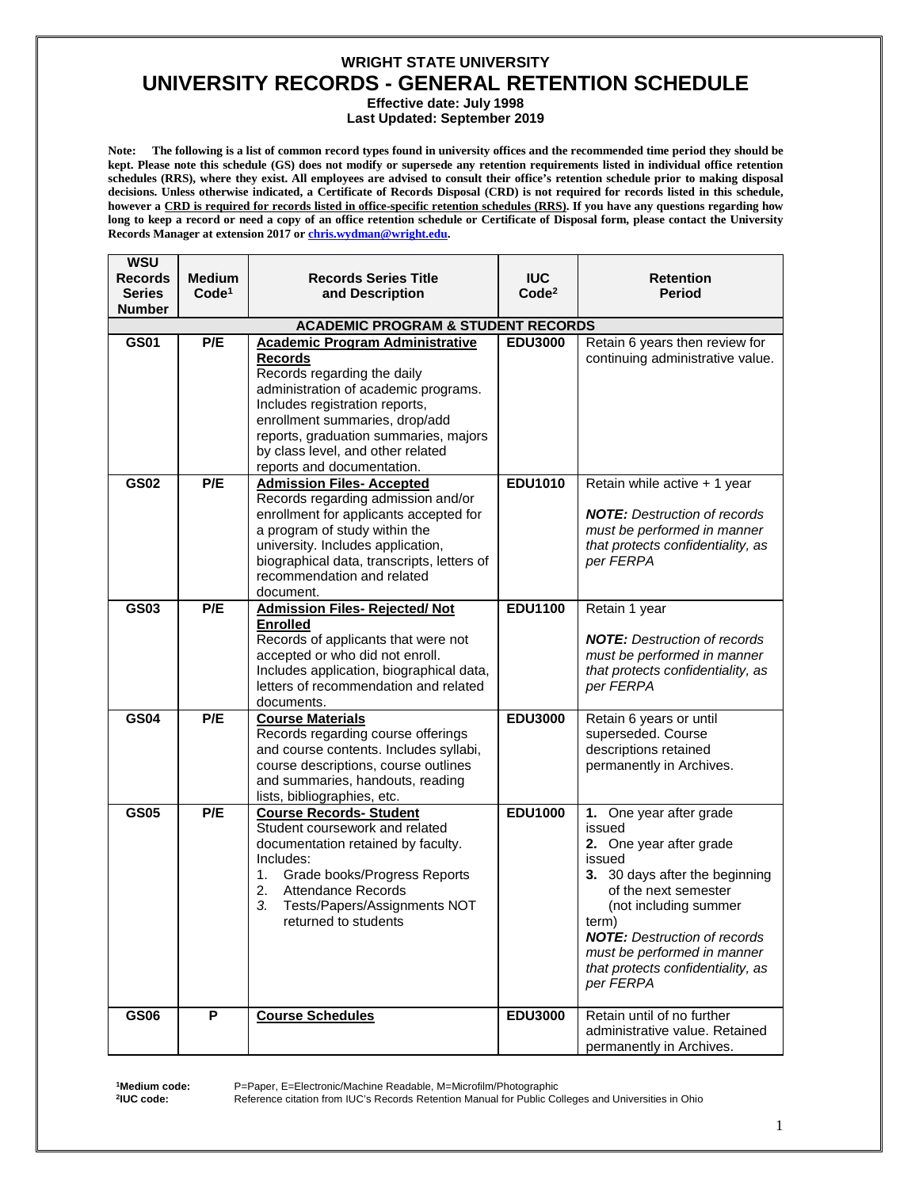**Effective date: July 1998**

**Last Updated: September 2019** 

**Note: The following is a list of common record types found in university offices and the recommended time period they should be kept. Please note this schedule (GS) does not modify or supersede any retention requirements listed in individual office retention schedules (RRS), where they exist. All employees are advised to consult their office's retention schedule prior to making disposal decisions. Unless otherwise indicated, a Certificate of Records Disposal (CRD) is not required for records listed in this schedule, however a CRD is required for records listed in office-specific retention schedules (RRS). If you have any questions regarding how long to keep a record or need a copy of an office retention schedule or Certificate of Disposal form, please contact the University Records Manager at extension 2017 o[r chris.wydman@wright.edu.](mailto:chris.wydman@wright.edu)**

| WSU<br><b>Records</b><br><b>Series</b><br><b>Number</b> | <b>Medium</b><br>Code <sup>1</sup> | <b>Records Series Title</b><br>and Description                                                                                                                                                                                                                                                                  | <b>IUC</b><br>Code <sup>2</sup> | <b>Retention</b><br>Period                                                                                                                                                                                                                                                                 |
|---------------------------------------------------------|------------------------------------|-----------------------------------------------------------------------------------------------------------------------------------------------------------------------------------------------------------------------------------------------------------------------------------------------------------------|---------------------------------|--------------------------------------------------------------------------------------------------------------------------------------------------------------------------------------------------------------------------------------------------------------------------------------------|
|                                                         |                                    | <b>ACADEMIC PROGRAM &amp; STUDENT RECORDS</b>                                                                                                                                                                                                                                                                   |                                 |                                                                                                                                                                                                                                                                                            |
| <b>GS01</b>                                             | P/E                                | <b>Academic Program Administrative</b><br><b>Records</b><br>Records regarding the daily<br>administration of academic programs.<br>Includes registration reports,<br>enrollment summaries, drop/add<br>reports, graduation summaries, majors<br>by class level, and other related<br>reports and documentation. | <b>EDU3000</b>                  | Retain 6 years then review for<br>continuing administrative value.                                                                                                                                                                                                                         |
| <b>GS02</b>                                             | P/E                                | <b>Admission Files- Accepted</b><br>Records regarding admission and/or<br>enrollment for applicants accepted for<br>a program of study within the<br>university. Includes application,<br>biographical data, transcripts, letters of<br>recommendation and related<br>document.                                 | <b>EDU1010</b>                  | Retain while active + 1 year<br><b>NOTE:</b> Destruction of records<br>must be performed in manner<br>that protects confidentiality, as<br>per FERPA                                                                                                                                       |
| <b>GS03</b>                                             | P/E                                | <b>Admission Files- Rejected/ Not</b><br><b>Enrolled</b><br>Records of applicants that were not<br>accepted or who did not enroll.<br>Includes application, biographical data,<br>letters of recommendation and related<br>documents.                                                                           | <b>EDU1100</b>                  | Retain 1 year<br><b>NOTE:</b> Destruction of records<br>must be performed in manner<br>that protects confidentiality, as<br>per FERPA                                                                                                                                                      |
| <b>GS04</b>                                             | P/E                                | <b>Course Materials</b><br>Records regarding course offerings<br>and course contents. Includes syllabi,<br>course descriptions, course outlines<br>and summaries, handouts, reading<br>lists, bibliographies, etc.                                                                                              | <b>EDU3000</b>                  | Retain 6 years or until<br>superseded. Course<br>descriptions retained<br>permanently in Archives.                                                                                                                                                                                         |
| <b>GS05</b>                                             | P/E                                | <b>Course Records- Student</b><br>Student coursework and related<br>documentation retained by faculty.<br>Includes:<br>1.<br>Grade books/Progress Reports<br>2.<br><b>Attendance Records</b><br>3.<br>Tests/Papers/Assignments NOT<br>returned to students                                                      | <b>EDU1000</b>                  | 1. One year after grade<br>issued<br>2. One year after grade<br>issued<br>3. 30 days after the beginning<br>of the next semester<br>(not including summer<br>term)<br><b>NOTE:</b> Destruction of records<br>must be performed in manner<br>that protects confidentiality, as<br>per FERPA |
| <b>GS06</b>                                             | $\overline{P}$                     | <b>Course Schedules</b>                                                                                                                                                                                                                                                                                         | <b>EDU3000</b>                  | Retain until of no further<br>administrative value. Retained<br>permanently in Archives.                                                                                                                                                                                                   |

**1Medium code: 2IUC code:**

P=Paper, E=Electronic/Machine Readable, M=Microfilm/Photographic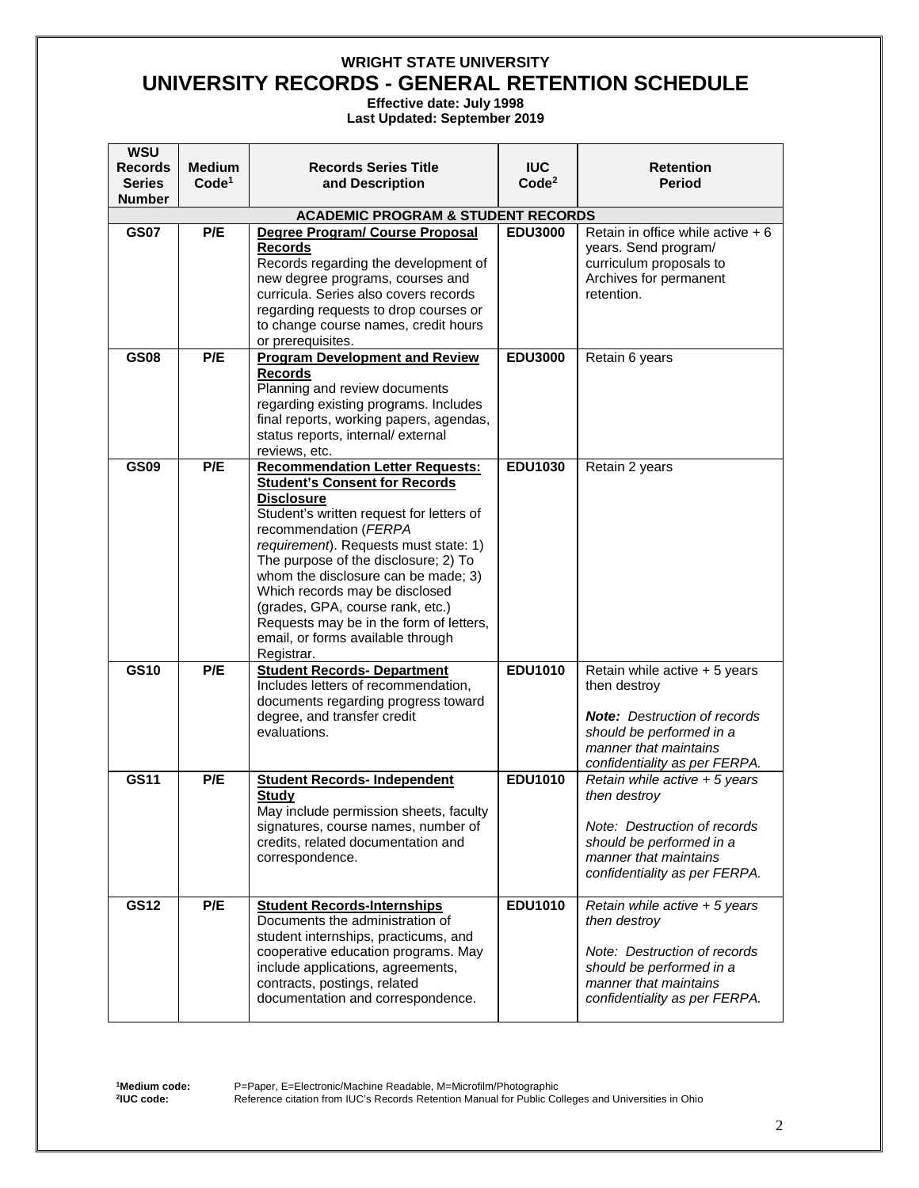**Effective date: July 1998**

**Last Updated: September 2019** 

| <b>WSU</b><br><b>Records</b> | <b>Medium</b>     | <b>Records Series Title</b>                                                                                                                                                                                                                                                                                                                                                                                                                                                                                                                                                                   | <b>IUC</b>        | <b>Retention</b>                                                                                                                                                           |
|------------------------------|-------------------|-----------------------------------------------------------------------------------------------------------------------------------------------------------------------------------------------------------------------------------------------------------------------------------------------------------------------------------------------------------------------------------------------------------------------------------------------------------------------------------------------------------------------------------------------------------------------------------------------|-------------------|----------------------------------------------------------------------------------------------------------------------------------------------------------------------------|
| Series                       | Code <sup>1</sup> | and Description                                                                                                                                                                                                                                                                                                                                                                                                                                                                                                                                                                               | Code <sup>2</sup> | Period                                                                                                                                                                     |
| <b>Number</b>                |                   | <b>ACADEMIC PROGRAM &amp; STUDENT RECORDS</b>                                                                                                                                                                                                                                                                                                                                                                                                                                                                                                                                                 |                   |                                                                                                                                                                            |
| <b>GS07</b>                  | P/E               | Degree Program/ Course Proposal                                                                                                                                                                                                                                                                                                                                                                                                                                                                                                                                                               | <b>EDU3000</b>    | Retain in office while active $+6$                                                                                                                                         |
|                              |                   | <b>Records</b><br>Records regarding the development of<br>new degree programs, courses and<br>curricula. Series also covers records<br>regarding requests to drop courses or<br>to change course names, credit hours<br>or prerequisites.                                                                                                                                                                                                                                                                                                                                                     |                   | years. Send program/<br>curriculum proposals to<br>Archives for permanent<br>retention.                                                                                    |
| <b>GS08</b>                  | P/E               | <b>Program Development and Review</b>                                                                                                                                                                                                                                                                                                                                                                                                                                                                                                                                                         | <b>EDU3000</b>    | Retain 6 years                                                                                                                                                             |
|                              |                   | <b>Records</b><br>Planning and review documents<br>regarding existing programs. Includes<br>final reports, working papers, agendas,<br>status reports, internal/external<br>reviews, etc.                                                                                                                                                                                                                                                                                                                                                                                                     |                   |                                                                                                                                                                            |
| <b>GS09</b>                  | P/E               | <b>Recommendation Letter Requests:</b>                                                                                                                                                                                                                                                                                                                                                                                                                                                                                                                                                        | <b>EDU1030</b>    | Retain 2 years                                                                                                                                                             |
| <b>GS10</b>                  | P/E               | <b>Student's Consent for Records</b><br><b>Disclosure</b><br>Student's written request for letters of<br>recommendation (FERPA<br>requirement). Requests must state: 1)<br>The purpose of the disclosure; 2) To<br>whom the disclosure can be made; 3)<br>Which records may be disclosed<br>(grades, GPA, course rank, etc.)<br>Requests may be in the form of letters,<br>email, or forms available through<br>Registrar.<br><b>Student Records- Department</b><br>Includes letters of recommendation,<br>documents regarding progress toward<br>degree, and transfer credit<br>evaluations. | <b>EDU1010</b>    | Retain while active + 5 years<br>then destroy<br><b>Note:</b> Destruction of records<br>should be performed in a<br>manner that maintains<br>confidentiality as per FERPA. |
| GS11                         | P/E               | <b>Student Records- Independent</b>                                                                                                                                                                                                                                                                                                                                                                                                                                                                                                                                                           | <b>EDU1010</b>    | Retain while active $+5$ years                                                                                                                                             |
|                              |                   | <b>Study</b><br>May include permission sheets, faculty<br>signatures, course names, number of<br>credits, related documentation and<br>correspondence.                                                                                                                                                                                                                                                                                                                                                                                                                                        |                   | then destroy<br>Note: Destruction of records<br>should be performed in a<br>manner that maintains<br>confidentiality as per FERPA.                                         |
| <b>GS12</b>                  | P/E               | <b>Student Records-Internships</b><br>Documents the administration of<br>student internships, practicums, and<br>cooperative education programs. May<br>include applications, agreements,<br>contracts, postings, related<br>documentation and correspondence.                                                                                                                                                                                                                                                                                                                                | <b>EDU1010</b>    | Retain while active + 5 years<br>then destroy<br>Note: Destruction of records<br>should be performed in a<br>manner that maintains<br>confidentiality as per FERPA.        |

**1Medium code: 2IUC code:**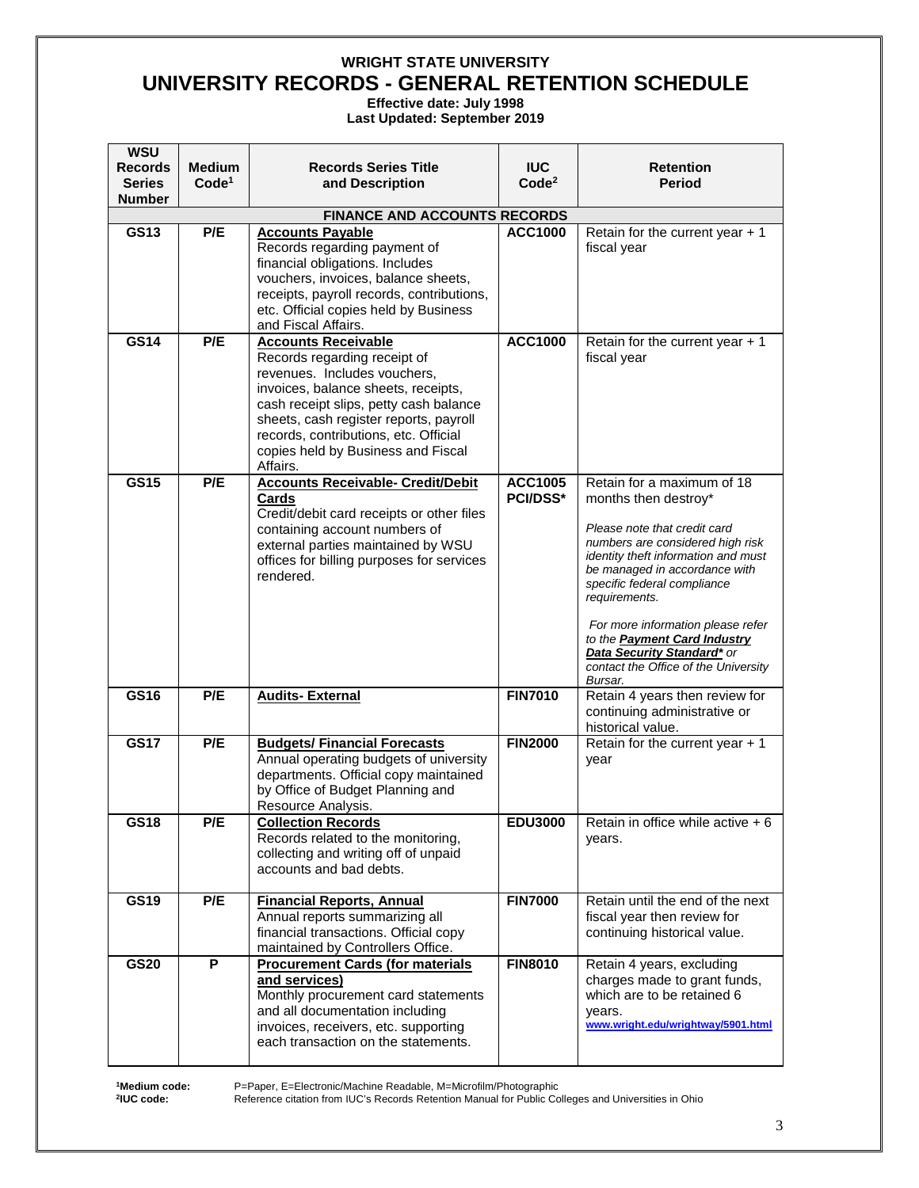**Effective date: July 1998**

**Last Updated: September 2019** 

| <b>WSU</b><br><b>Records</b><br><b>Series</b><br><b>Number</b> | <b>Medium</b><br>Code <sup>1</sup> | <b>Records Series Title</b><br>and Description                                                                                                                                                                                                                                                                   | <b>IUC</b><br>Code <sup>2</sup>   | <b>Retention</b><br><b>Period</b>                                                                                                                                                                                                                                                                                                                                                                           |
|----------------------------------------------------------------|------------------------------------|------------------------------------------------------------------------------------------------------------------------------------------------------------------------------------------------------------------------------------------------------------------------------------------------------------------|-----------------------------------|-------------------------------------------------------------------------------------------------------------------------------------------------------------------------------------------------------------------------------------------------------------------------------------------------------------------------------------------------------------------------------------------------------------|
|                                                                |                                    | <b>FINANCE AND ACCOUNTS RECORDS</b>                                                                                                                                                                                                                                                                              |                                   |                                                                                                                                                                                                                                                                                                                                                                                                             |
| GS13                                                           | P/E                                | <b>Accounts Payable</b><br>Records regarding payment of<br>financial obligations. Includes<br>vouchers, invoices, balance sheets,<br>receipts, payroll records, contributions,<br>etc. Official copies held by Business<br>and Fiscal Affairs.                                                                   | <b>ACC1000</b>                    | Retain for the current year $+1$<br>fiscal year                                                                                                                                                                                                                                                                                                                                                             |
| <b>GS14</b>                                                    | P/E                                | <b>Accounts Receivable</b><br>Records regarding receipt of<br>revenues. Includes vouchers,<br>invoices, balance sheets, receipts,<br>cash receipt slips, petty cash balance<br>sheets, cash register reports, payroll<br>records, contributions, etc. Official<br>copies held by Business and Fiscal<br>Affairs. | <b>ACC1000</b>                    | Retain for the current year $+1$<br>fiscal year                                                                                                                                                                                                                                                                                                                                                             |
| <b>GS15</b>                                                    | P/E                                | <b>Accounts Receivable- Credit/Debit</b><br>Cards<br>Credit/debit card receipts or other files<br>containing account numbers of<br>external parties maintained by WSU<br>offices for billing purposes for services<br>rendered.                                                                                  | <b>ACC1005</b><br><b>PCI/DSS*</b> | Retain for a maximum of 18<br>months then destroy*<br>Please note that credit card<br>numbers are considered high risk<br>identity theft information and must<br>be managed in accordance with<br>specific federal compliance<br>requirements.<br>For more information please refer<br>to the <b>Payment Card Industry</b><br>Data Security Standard* or<br>contact the Office of the University<br>Bursar. |
| <b>GS16</b>                                                    | P/E                                | <b>Audits-External</b>                                                                                                                                                                                                                                                                                           | <b>FIN7010</b>                    | Retain 4 years then review for<br>continuing administrative or<br>historical value.                                                                                                                                                                                                                                                                                                                         |
| <b>GS17</b>                                                    | P/E                                | <b>Budgets/ Financial Forecasts</b><br>Annual operating budgets of university<br>departments. Official copy maintained<br>by Office of Budget Planning and<br>Resource Analysis.                                                                                                                                 | <b>FIN2000</b>                    | Retain for the current year $+1$<br>year                                                                                                                                                                                                                                                                                                                                                                    |
| <b>GS18</b>                                                    | P/E                                | <b>Collection Records</b><br>Records related to the monitoring,<br>collecting and writing off of unpaid<br>accounts and bad debts.                                                                                                                                                                               | <b>EDU3000</b>                    | Retain in office while active $+6$<br>years.                                                                                                                                                                                                                                                                                                                                                                |
| <b>GS19</b>                                                    | P/E                                | <b>Financial Reports, Annual</b><br>Annual reports summarizing all<br>financial transactions. Official copy<br>maintained by Controllers Office.                                                                                                                                                                 | <b>FIN7000</b>                    | Retain until the end of the next<br>fiscal year then review for<br>continuing historical value.                                                                                                                                                                                                                                                                                                             |
| <b>GS20</b>                                                    | P                                  | <b>Procurement Cards (for materials</b><br>and services)<br>Monthly procurement card statements<br>and all documentation including<br>invoices, receivers, etc. supporting<br>each transaction on the statements.                                                                                                | <b>FIN8010</b>                    | Retain 4 years, excluding<br>charges made to grant funds,<br>which are to be retained 6<br>years.<br>www.wright.edu/wrightway/5901.html                                                                                                                                                                                                                                                                     |

**1Medium code: 2IUC code:**

P=Paper, E=Electronic/Machine Readable, M=Microfilm/Photographic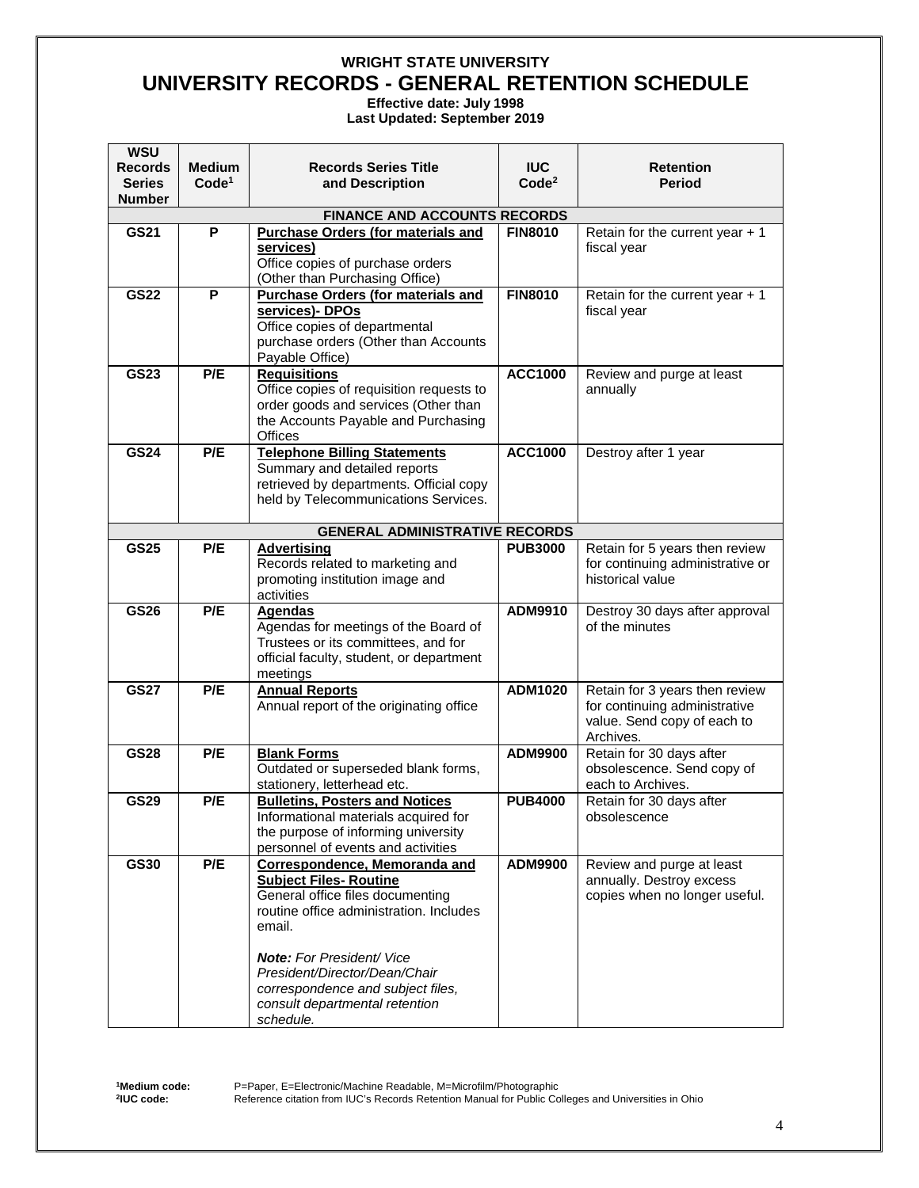**Effective date: July 1998**

**Last Updated: September 2019** 

| <b>WSU</b><br><b>Records</b> | <b>Medium</b>     | <b>Records Series Title</b>                                           | <b>IUC</b>        | <b>Retention</b>                                       |
|------------------------------|-------------------|-----------------------------------------------------------------------|-------------------|--------------------------------------------------------|
| <b>Series</b>                | Code <sup>1</sup> | and Description                                                       | Code <sup>2</sup> | Period                                                 |
| <b>Number</b>                |                   |                                                                       |                   |                                                        |
|                              |                   | <b>FINANCE AND ACCOUNTS RECORDS</b>                                   |                   |                                                        |
| <b>GS21</b>                  | P                 | <b>Purchase Orders (for materials and</b><br>services)                | <b>FIN8010</b>    | Retain for the current year $+1$<br>fiscal year        |
|                              |                   | Office copies of purchase orders                                      |                   |                                                        |
|                              |                   | (Other than Purchasing Office)                                        |                   |                                                        |
| <b>GS22</b>                  | P                 | <b>Purchase Orders (for materials and</b>                             | <b>FIN8010</b>    | Retain for the current year $+1$                       |
|                              |                   | services)- DPOs                                                       |                   | fiscal year                                            |
|                              |                   | Office copies of departmental<br>purchase orders (Other than Accounts |                   |                                                        |
|                              |                   | Payable Office)                                                       |                   |                                                        |
| <b>GS23</b>                  | P/E               | <b>Requisitions</b>                                                   | <b>ACC1000</b>    | Review and purge at least                              |
|                              |                   | Office copies of requisition requests to                              |                   | annually                                               |
|                              |                   | order goods and services (Other than                                  |                   |                                                        |
|                              |                   | the Accounts Payable and Purchasing<br><b>Offices</b>                 |                   |                                                        |
| <b>GS24</b>                  | P/E               | <b>Telephone Billing Statements</b>                                   | <b>ACC1000</b>    | Destroy after 1 year                                   |
|                              |                   | Summary and detailed reports                                          |                   |                                                        |
|                              |                   | retrieved by departments. Official copy                               |                   |                                                        |
|                              |                   | held by Telecommunications Services.                                  |                   |                                                        |
|                              |                   | <b>GENERAL ADMINISTRATIVE RECORDS</b>                                 |                   |                                                        |
| <b>GS25</b>                  | P/E               | <b>Advertising</b>                                                    | <b>PUB3000</b>    | Retain for 5 years then review                         |
|                              |                   | Records related to marketing and                                      |                   | for continuing administrative or                       |
|                              |                   | promoting institution image and                                       |                   | historical value                                       |
| <b>GS26</b>                  | P/E               | activities<br><b>Agendas</b>                                          | ADM9910           | Destroy 30 days after approval                         |
|                              |                   | Agendas for meetings of the Board of                                  |                   | of the minutes                                         |
|                              |                   | Trustees or its committees, and for                                   |                   |                                                        |
|                              |                   | official faculty, student, or department                              |                   |                                                        |
| <b>GS27</b>                  | P/E               | meetings<br><b>Annual Reports</b>                                     | ADM1020           | Retain for 3 years then review                         |
|                              |                   | Annual report of the originating office                               |                   | for continuing administrative                          |
|                              |                   |                                                                       |                   | value. Send copy of each to                            |
|                              |                   |                                                                       |                   | Archives.                                              |
| <b>GS28</b>                  | P/E               | <b>Blank Forms</b>                                                    | ADM9900           | Retain for 30 days after<br>obsolescence. Send copy of |
|                              |                   | Outdated or superseded blank forms,<br>stationery, letterhead etc.    |                   | each to Archives.                                      |
| <b>GS29</b>                  | P/E               | <b>Bulletins, Posters and Notices</b>                                 | <b>PUB4000</b>    | Retain for 30 days after                               |
|                              |                   | Informational materials acquired for                                  |                   | obsolescence                                           |
|                              |                   | the purpose of informing university                                   |                   |                                                        |
| <b>GS30</b>                  | P/E               | personnel of events and activities<br>Correspondence, Memoranda and   | ADM9900           | Review and purge at least                              |
|                              |                   | <b>Subject Files- Routine</b>                                         |                   | annually. Destroy excess                               |
|                              |                   | General office files documenting                                      |                   | copies when no longer useful.                          |
|                              |                   | routine office administration. Includes                               |                   |                                                        |
|                              |                   | email.                                                                |                   |                                                        |
|                              |                   | <b>Note:</b> For President/ Vice                                      |                   |                                                        |
|                              |                   | President/Director/Dean/Chair                                         |                   |                                                        |
|                              |                   | correspondence and subject files,                                     |                   |                                                        |
|                              |                   | consult departmental retention                                        |                   |                                                        |
|                              |                   | schedule.                                                             |                   |                                                        |

**1Medium code: 2IUC code:**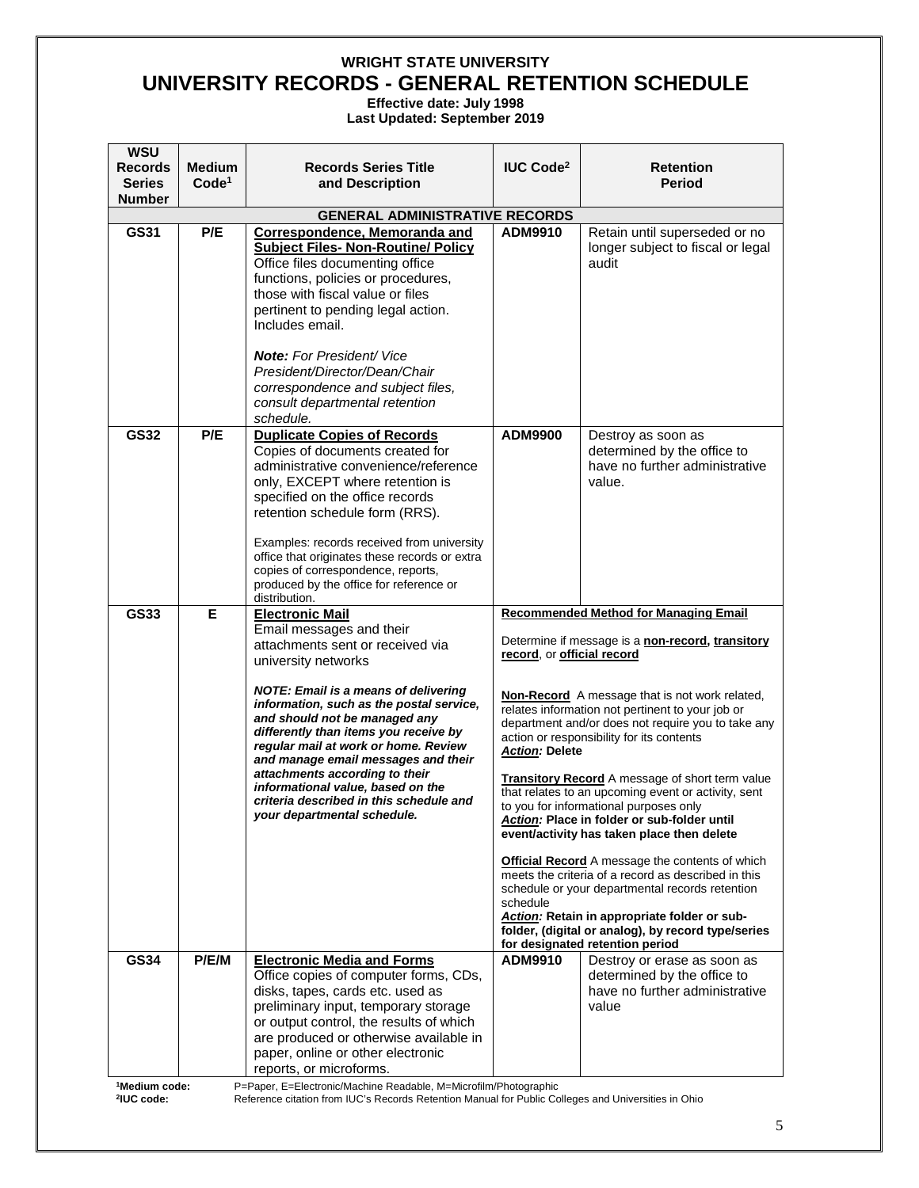**Effective date: July 1998 Last Updated: September 2019** 

| <b>WSU</b><br><b>Records</b>   | <b>Medium</b><br>Code <sup>1</sup> | <b>Records Series Title</b>                                                                                                                                                                                                                                                                                                                                                                                                                                                                                        | <b>IUC Code<sup>2</sup></b>                                     | <b>Retention</b><br><b>Period</b>                                                                                                                                                                                                                                                                                                                                                                                                                                                                                                                                                                                                                                                                                                                                                                                                                                              |
|--------------------------------|------------------------------------|--------------------------------------------------------------------------------------------------------------------------------------------------------------------------------------------------------------------------------------------------------------------------------------------------------------------------------------------------------------------------------------------------------------------------------------------------------------------------------------------------------------------|-----------------------------------------------------------------|--------------------------------------------------------------------------------------------------------------------------------------------------------------------------------------------------------------------------------------------------------------------------------------------------------------------------------------------------------------------------------------------------------------------------------------------------------------------------------------------------------------------------------------------------------------------------------------------------------------------------------------------------------------------------------------------------------------------------------------------------------------------------------------------------------------------------------------------------------------------------------|
| <b>Series</b><br><b>Number</b> |                                    | and Description                                                                                                                                                                                                                                                                                                                                                                                                                                                                                                    |                                                                 |                                                                                                                                                                                                                                                                                                                                                                                                                                                                                                                                                                                                                                                                                                                                                                                                                                                                                |
|                                |                                    | <b>GENERAL ADMINISTRATIVE RECORDS</b>                                                                                                                                                                                                                                                                                                                                                                                                                                                                              |                                                                 |                                                                                                                                                                                                                                                                                                                                                                                                                                                                                                                                                                                                                                                                                                                                                                                                                                                                                |
| GS31                           | P/E                                | <b>Correspondence, Memoranda and</b><br><b>Subject Files- Non-Routine/ Policy</b><br>Office files documenting office<br>functions, policies or procedures,<br>those with fiscal value or files<br>pertinent to pending legal action.<br>Includes email.<br><b>Note:</b> For President/ Vice<br>President/Director/Dean/Chair<br>correspondence and subject files,<br>consult departmental retention<br>schedule.                                                                                                   | ADM9910                                                         | Retain until superseded or no<br>longer subject to fiscal or legal<br>audit                                                                                                                                                                                                                                                                                                                                                                                                                                                                                                                                                                                                                                                                                                                                                                                                    |
| <b>GS32</b>                    | P/E                                | <b>Duplicate Copies of Records</b><br>Copies of documents created for<br>administrative convenience/reference<br>only, EXCEPT where retention is<br>specified on the office records<br>retention schedule form (RRS).<br>Examples: records received from university<br>office that originates these records or extra<br>copies of correspondence, reports,<br>produced by the office for reference or<br>distribution.                                                                                             | <b>ADM9900</b>                                                  | Destroy as soon as<br>determined by the office to<br>have no further administrative<br>value.                                                                                                                                                                                                                                                                                                                                                                                                                                                                                                                                                                                                                                                                                                                                                                                  |
| <b>GS33</b>                    | Е                                  | <b>Electronic Mail</b><br>Email messages and their<br>attachments sent or received via<br>university networks<br><b>NOTE: Email is a means of delivering</b><br>information, such as the postal service,<br>and should not be managed any<br>differently than items you receive by<br>regular mail at work or home. Review<br>and manage email messages and their<br>attachments according to their<br>informational value, based on the<br>criteria described in this schedule and<br>your departmental schedule. | record, or official record<br><b>Action: Delete</b><br>schedule | <b>Recommended Method for Managing Email</b><br>Determine if message is a non-record, transitory<br><b>Non-Record</b> A message that is not work related,<br>relates information not pertinent to your job or<br>department and/or does not require you to take any<br>action or responsibility for its contents<br><b>Transitory Record</b> A message of short term value<br>that relates to an upcoming event or activity, sent<br>to you for informational purposes only<br>Action: Place in folder or sub-folder until<br>event/activity has taken place then delete<br>Official Record A message the contents of which<br>meets the criteria of a record as described in this<br>schedule or your departmental records retention<br>Action: Retain in appropriate folder or sub-<br>folder, (digital or analog), by record type/series<br>for designated retention period |
| <b>GS34</b>                    | P/E/M                              | <b>Electronic Media and Forms</b><br>Office copies of computer forms, CDs,<br>disks, tapes, cards etc. used as<br>preliminary input, temporary storage<br>or output control, the results of which<br>are produced or otherwise available in<br>paper, online or other electronic<br>reports, or microforms.                                                                                                                                                                                                        | ADM9910                                                         | Destroy or erase as soon as<br>determined by the office to<br>have no further administrative<br>value                                                                                                                                                                                                                                                                                                                                                                                                                                                                                                                                                                                                                                                                                                                                                                          |

**1Medium code: 2IUC code:**

P=Paper, E=Electronic/Machine Readable, M=Microfilm/Photographic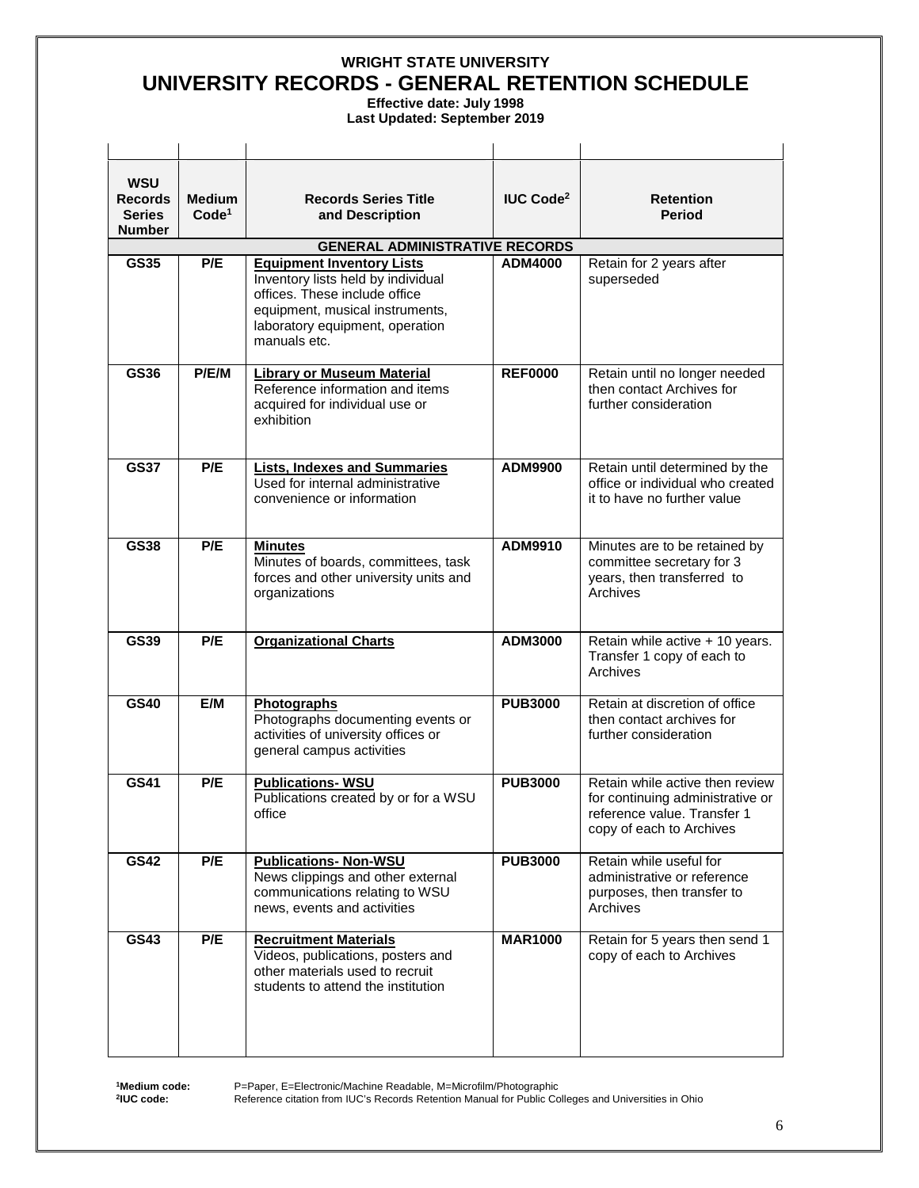**Effective date: July 1998 Last Updated: September 2019** 

| <b>WSU</b><br><b>Records</b><br><b>Series</b><br><b>Number</b> | <b>Medium</b><br>Code <sup>1</sup> | <b>Records Series Title</b><br>and Description                                                                                                                                                | <b>IUC Code<sup>2</sup></b> | <b>Retention</b><br><b>Period</b>                                                                                              |
|----------------------------------------------------------------|------------------------------------|-----------------------------------------------------------------------------------------------------------------------------------------------------------------------------------------------|-----------------------------|--------------------------------------------------------------------------------------------------------------------------------|
|                                                                |                                    | <b>GENERAL ADMINISTRATIVE RECORDS</b>                                                                                                                                                         |                             |                                                                                                                                |
| <b>GS35</b>                                                    | P/E                                | <b>Equipment Inventory Lists</b><br>Inventory lists held by individual<br>offices. These include office<br>equipment, musical instruments,<br>laboratory equipment, operation<br>manuals etc. | <b>ADM4000</b>              | Retain for 2 years after<br>superseded                                                                                         |
| GS36                                                           | P/E/M                              | <b>Library or Museum Material</b><br>Reference information and items<br>acquired for individual use or<br>exhibition                                                                          | <b>REF0000</b>              | Retain until no longer needed<br>then contact Archives for<br>further consideration                                            |
| <b>GS37</b>                                                    | P/E                                | <b>Lists, Indexes and Summaries</b><br>Used for internal administrative<br>convenience or information                                                                                         | ADM9900                     | Retain until determined by the<br>office or individual who created<br>it to have no further value                              |
| <b>GS38</b>                                                    | P/E                                | <b>Minutes</b><br>Minutes of boards, committees, task<br>forces and other university units and<br>organizations                                                                               | ADM9910                     | Minutes are to be retained by<br>committee secretary for 3<br>years, then transferred to<br>Archives                           |
| <b>GS39</b>                                                    | P/E                                | <b>Organizational Charts</b>                                                                                                                                                                  | ADM3000                     | Retain while active + 10 years.<br>Transfer 1 copy of each to<br>Archives                                                      |
| <b>GS40</b>                                                    | E/M                                | Photographs<br>Photographs documenting events or<br>activities of university offices or<br>general campus activities                                                                          | <b>PUB3000</b>              | Retain at discretion of office<br>then contact archives for<br>further consideration                                           |
| <b>GS41</b>                                                    | P/E                                | <b>Publications-WSU</b><br>Publications created by or for a WSU<br>office                                                                                                                     | <b>PUB3000</b>              | Retain while active then review<br>for continuing administrative or<br>reference value. Transfer 1<br>copy of each to Archives |
| <b>GS42</b>                                                    | P/E                                | <b>Publications- Non-WSU</b><br>News clippings and other external<br>communications relating to WSU<br>news, events and activities                                                            | <b>PUB3000</b>              | Retain while useful for<br>administrative or reference<br>purposes, then transfer to<br>Archives                               |
| <b>GS43</b>                                                    | P/E                                | <b>Recruitment Materials</b><br>Videos, publications, posters and<br>other materials used to recruit                                                                                          | <b>MAR1000</b>              | Retain for 5 years then send 1<br>copy of each to Archives                                                                     |

**1Medium code: 2IUC code:**

P=Paper, E=Electronic/Machine Readable, M=Microfilm/Photographic

students to attend the institution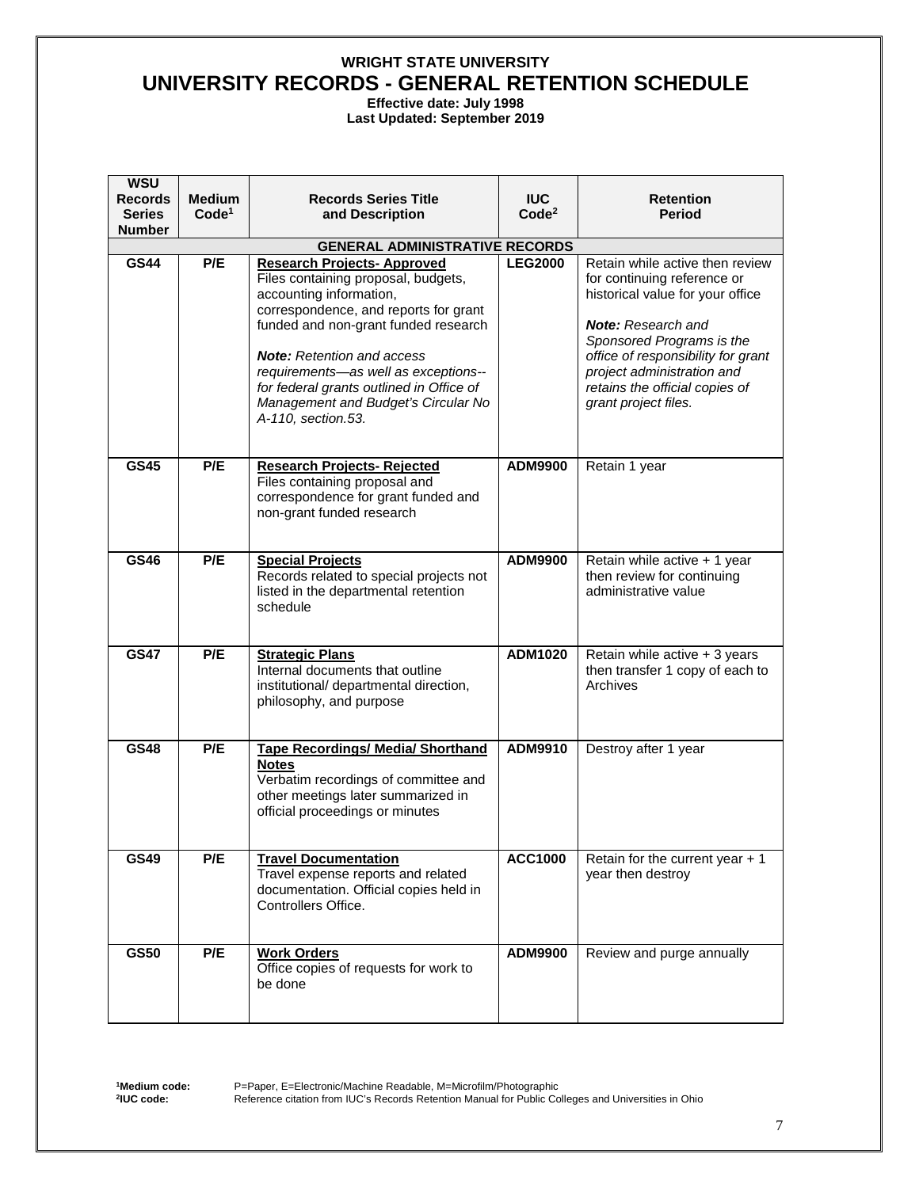**Effective date: July 1998**

**Last Updated: September 2019** 

| <b>WSU</b><br><b>Records</b>   | <b>Medium</b>     | <b>Records Series Title</b>                                                                                                                                                                                                                                                                                                           | <b>IUC</b>        | <b>Retention</b>                                                                                                                                                                                                                                        |
|--------------------------------|-------------------|---------------------------------------------------------------------------------------------------------------------------------------------------------------------------------------------------------------------------------------------------------------------------------------------------------------------------------------|-------------------|---------------------------------------------------------------------------------------------------------------------------------------------------------------------------------------------------------------------------------------------------------|
| <b>Series</b><br><b>Number</b> | Code <sup>1</sup> | and Description                                                                                                                                                                                                                                                                                                                       | Code <sup>2</sup> | Period                                                                                                                                                                                                                                                  |
|                                |                   | <b>GENERAL ADMINISTRATIVE RECORDS</b>                                                                                                                                                                                                                                                                                                 |                   |                                                                                                                                                                                                                                                         |
| <b>GS44</b>                    | P/E               | <b>Research Projects- Approved</b>                                                                                                                                                                                                                                                                                                    | <b>LEG2000</b>    | Retain while active then review                                                                                                                                                                                                                         |
|                                |                   | Files containing proposal, budgets,<br>accounting information,<br>correspondence, and reports for grant<br>funded and non-grant funded research<br><b>Note:</b> Retention and access<br>requirements-as well as exceptions--<br>for federal grants outlined in Office of<br>Management and Budget's Circular No<br>A-110, section.53. |                   | for continuing reference or<br>historical value for your office<br><b>Note:</b> Research and<br>Sponsored Programs is the<br>office of responsibility for grant<br>project administration and<br>retains the official copies of<br>grant project files. |
| <b>GS45</b>                    | P/E               | <b>Research Projects- Rejected</b><br>Files containing proposal and<br>correspondence for grant funded and<br>non-grant funded research                                                                                                                                                                                               | <b>ADM9900</b>    | Retain 1 year                                                                                                                                                                                                                                           |
| GS46                           | P/E               | <b>Special Projects</b><br>Records related to special projects not<br>listed in the departmental retention<br>schedule                                                                                                                                                                                                                | <b>ADM9900</b>    | Retain while active + 1 year<br>then review for continuing<br>administrative value                                                                                                                                                                      |
| <b>GS47</b>                    | P/E               | <b>Strategic Plans</b><br>Internal documents that outline<br>institutional/ departmental direction,<br>philosophy, and purpose                                                                                                                                                                                                        | ADM1020           | Retain while active + 3 years<br>then transfer 1 copy of each to<br>Archives                                                                                                                                                                            |
| <b>GS48</b>                    | P/E               | <b>Tape Recordings/ Media/ Shorthand</b><br><b>Notes</b><br>Verbatim recordings of committee and<br>other meetings later summarized in<br>official proceedings or minutes                                                                                                                                                             | ADM9910           | Destroy after 1 year                                                                                                                                                                                                                                    |
| GS49                           | P/E               | <b>Travel Documentation</b><br>Travel expense reports and related<br>documentation. Official copies held in<br>Controllers Office.                                                                                                                                                                                                    | <b>ACC1000</b>    | Retain for the current year $+1$<br>year then destroy                                                                                                                                                                                                   |
| <b>GS50</b>                    | P/E               | <b>Work Orders</b><br>Office copies of requests for work to<br>be done                                                                                                                                                                                                                                                                | ADM9900           | Review and purge annually                                                                                                                                                                                                                               |

**1Medium code: 2IUC code:**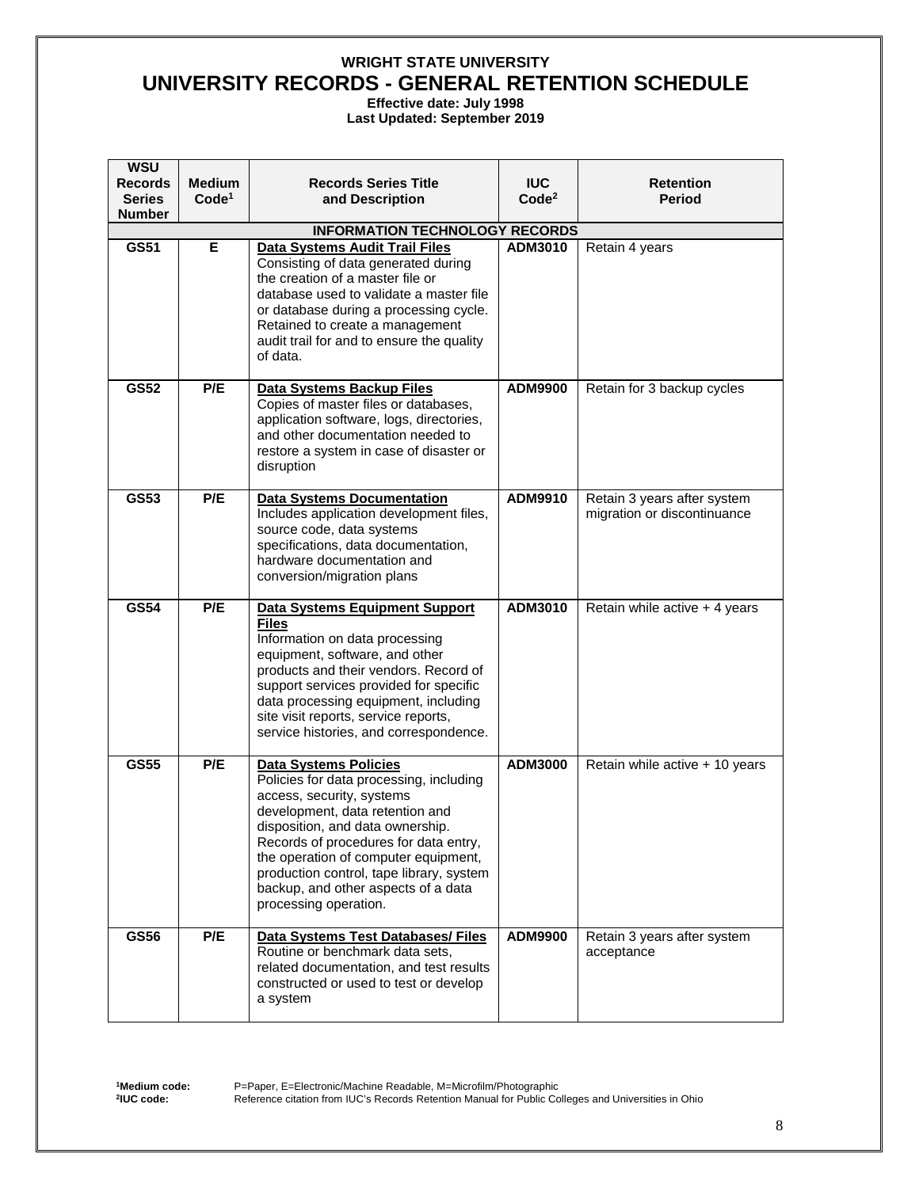**Effective date: July 1998**

**Last Updated: September 2019** 

| <b>WSU</b><br><b>Records</b>   | <b>Medium</b>     | <b>Records Series Title</b>                                                    | <b>IUC</b>        | <b>Retention</b>                                           |
|--------------------------------|-------------------|--------------------------------------------------------------------------------|-------------------|------------------------------------------------------------|
| <b>Series</b><br><b>Number</b> | Code <sup>1</sup> | and Description                                                                | Code <sup>2</sup> | Period                                                     |
|                                |                   | <b>INFORMATION TECHNOLOGY RECORDS</b>                                          |                   |                                                            |
| GS51                           | Е                 | Data Systems Audit Trail Files                                                 | ADM3010           | Retain 4 years                                             |
|                                |                   | Consisting of data generated during                                            |                   |                                                            |
|                                |                   | the creation of a master file or<br>database used to validate a master file    |                   |                                                            |
|                                |                   | or database during a processing cycle.                                         |                   |                                                            |
|                                |                   | Retained to create a management                                                |                   |                                                            |
|                                |                   | audit trail for and to ensure the quality                                      |                   |                                                            |
|                                |                   | of data.                                                                       |                   |                                                            |
| <b>GS52</b>                    | P/E               | Data Systems Backup Files                                                      | ADM9900           | Retain for 3 backup cycles                                 |
|                                |                   | Copies of master files or databases,                                           |                   |                                                            |
|                                |                   | application software, logs, directories,<br>and other documentation needed to  |                   |                                                            |
|                                |                   | restore a system in case of disaster or                                        |                   |                                                            |
|                                |                   | disruption                                                                     |                   |                                                            |
| GS53                           | P/E               |                                                                                | ADM9910           |                                                            |
|                                |                   | <b>Data Systems Documentation</b><br>Includes application development files,   |                   | Retain 3 years after system<br>migration or discontinuance |
|                                |                   | source code, data systems                                                      |                   |                                                            |
|                                |                   | specifications, data documentation,                                            |                   |                                                            |
|                                |                   | hardware documentation and<br>conversion/migration plans                       |                   |                                                            |
|                                |                   |                                                                                |                   |                                                            |
| <b>GS54</b>                    | P/E               | <b>Data Systems Equipment Support</b>                                          | ADM3010           | Retain while active + 4 years                              |
|                                |                   | <b>Files</b><br>Information on data processing                                 |                   |                                                            |
|                                |                   | equipment, software, and other                                                 |                   |                                                            |
|                                |                   | products and their vendors. Record of                                          |                   |                                                            |
|                                |                   | support services provided for specific<br>data processing equipment, including |                   |                                                            |
|                                |                   | site visit reports, service reports,                                           |                   |                                                            |
|                                |                   | service histories, and correspondence.                                         |                   |                                                            |
| <b>GS55</b>                    | P/E               | <b>Data Systems Policies</b>                                                   | <b>ADM3000</b>    | Retain while active + 10 years                             |
|                                |                   | Policies for data processing, including                                        |                   |                                                            |
|                                |                   | access, security, systems                                                      |                   |                                                            |
|                                |                   | development, data retention and<br>disposition, and data ownership.            |                   |                                                            |
|                                |                   | Records of procedures for data entry,                                          |                   |                                                            |
|                                |                   | the operation of computer equipment,                                           |                   |                                                            |
|                                |                   | production control, tape library, system                                       |                   |                                                            |
|                                |                   | backup, and other aspects of a data<br>processing operation.                   |                   |                                                            |
|                                |                   |                                                                                |                   |                                                            |
| <b>GS56</b>                    | P/E               | <b>Data Systems Test Databases/ Files</b><br>Routine or benchmark data sets,   | <b>ADM9900</b>    | Retain 3 years after system<br>acceptance                  |
|                                |                   | related documentation, and test results                                        |                   |                                                            |
|                                |                   | constructed or used to test or develop                                         |                   |                                                            |
|                                |                   | a system                                                                       |                   |                                                            |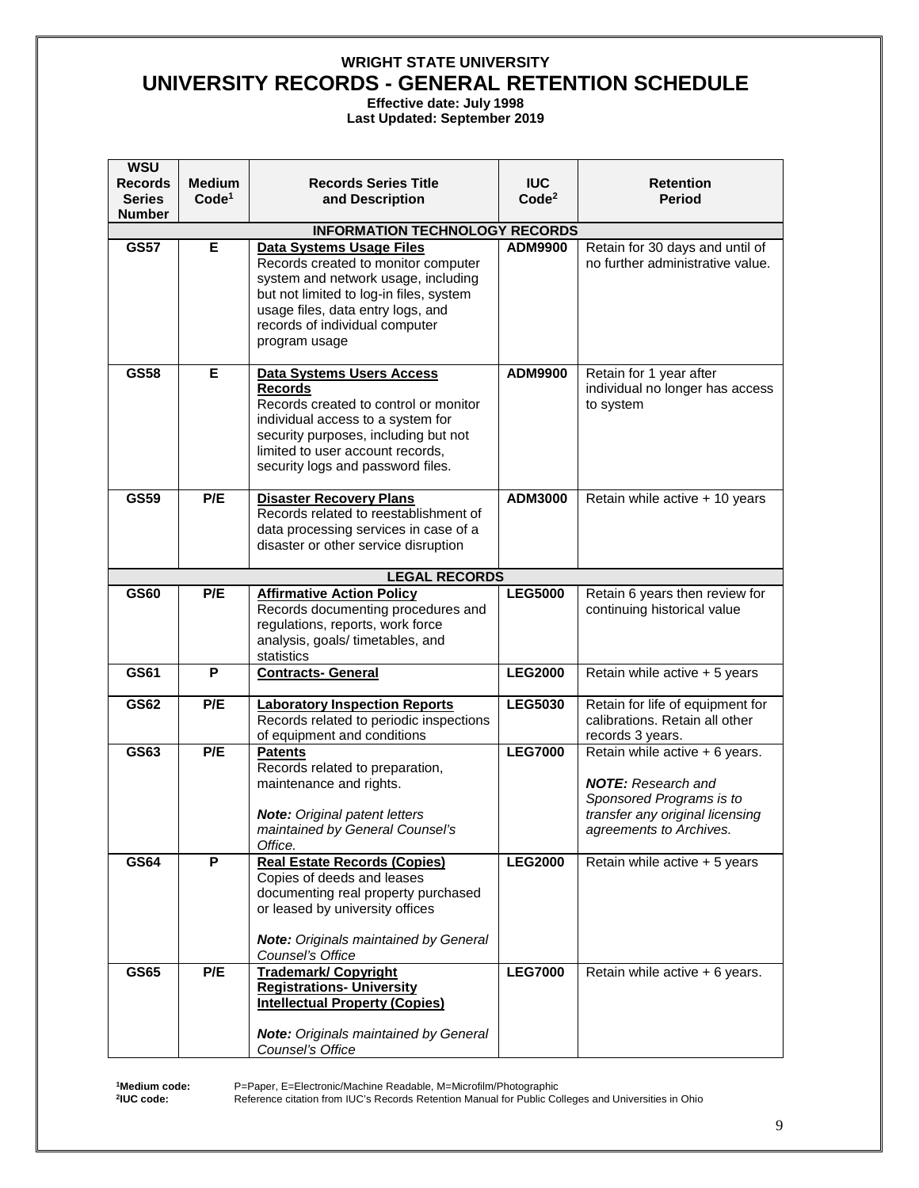**Effective date: July 1998**

**Last Updated: September 2019** 

| <b>WSU</b><br>Records          | <b>Medium</b>     | <b>Records Series Title</b>                                                                                                                                                                                                                | <b>IUC</b>        | <b>Retention</b>                                                                                                                                      |
|--------------------------------|-------------------|--------------------------------------------------------------------------------------------------------------------------------------------------------------------------------------------------------------------------------------------|-------------------|-------------------------------------------------------------------------------------------------------------------------------------------------------|
| <b>Series</b><br><b>Number</b> | Code <sup>1</sup> | and Description                                                                                                                                                                                                                            | Code <sup>2</sup> | Period                                                                                                                                                |
|                                |                   | <b>INFORMATION TECHNOLOGY RECORDS</b>                                                                                                                                                                                                      |                   |                                                                                                                                                       |
| <b>GS57</b>                    | Е                 | Data Systems Usage Files<br>Records created to monitor computer<br>system and network usage, including<br>but not limited to log-in files, system<br>usage files, data entry logs, and<br>records of individual computer<br>program usage  | <b>ADM9900</b>    | Retain for 30 days and until of<br>no further administrative value.                                                                                   |
| <b>GS58</b>                    | Е                 | Data Systems Users Access<br><b>Records</b><br>Records created to control or monitor<br>individual access to a system for<br>security purposes, including but not<br>limited to user account records,<br>security logs and password files. | <b>ADM9900</b>    | Retain for 1 year after<br>individual no longer has access<br>to system                                                                               |
| <b>GS59</b>                    | P/E               | <b>Disaster Recovery Plans</b><br>Records related to reestablishment of<br>data processing services in case of a<br>disaster or other service disruption                                                                                   | <b>ADM3000</b>    | Retain while active + 10 years                                                                                                                        |
|                                |                   | <b>LEGAL RECORDS</b>                                                                                                                                                                                                                       |                   |                                                                                                                                                       |
| <b>GS60</b>                    | P/E               | <b>Affirmative Action Policy</b><br>Records documenting procedures and<br>regulations, reports, work force<br>analysis, goals/timetables, and<br>statistics                                                                                | <b>LEG5000</b>    | Retain 6 years then review for<br>continuing historical value                                                                                         |
| GS61                           | P                 | <b>Contracts- General</b>                                                                                                                                                                                                                  | <b>LEG2000</b>    | Retain while active + 5 years                                                                                                                         |
| <b>GS62</b>                    | P/E               | <b>Laboratory Inspection Reports</b><br>Records related to periodic inspections<br>of equipment and conditions                                                                                                                             | <b>LEG5030</b>    | Retain for life of equipment for<br>calibrations. Retain all other<br>records 3 years.                                                                |
| GS63                           | P/E               | <b>Patents</b><br>Records related to preparation,<br>maintenance and rights.<br><b>Note:</b> Original patent letters<br>maintained by General Counsel's<br>Office.                                                                         | <b>LEG7000</b>    | Retain while active + 6 years.<br><b>NOTE:</b> Research and<br>Sponsored Programs is to<br>transfer any original licensing<br>agreements to Archives. |
| <b>GS64</b>                    | P                 | <b>Real Estate Records (Copies)</b><br>Copies of deeds and leases<br>documenting real property purchased<br>or leased by university offices<br><b>Note:</b> Originals maintained by General<br>Counsel's Office                            | <b>LEG2000</b>    | Retain while active + 5 years                                                                                                                         |
| <b>GS65</b>                    | P/E               | <b>Trademark/ Copyright</b><br><b>Registrations- University</b><br><b>Intellectual Property (Copies)</b><br><b>Note:</b> Originals maintained by General<br>Counsel's Office                                                               | <b>LEG7000</b>    | Retain while active + 6 years.                                                                                                                        |

**1Medium code: 2IUC code:**

P=Paper, E=Electronic/Machine Readable, M=Microfilm/Photographic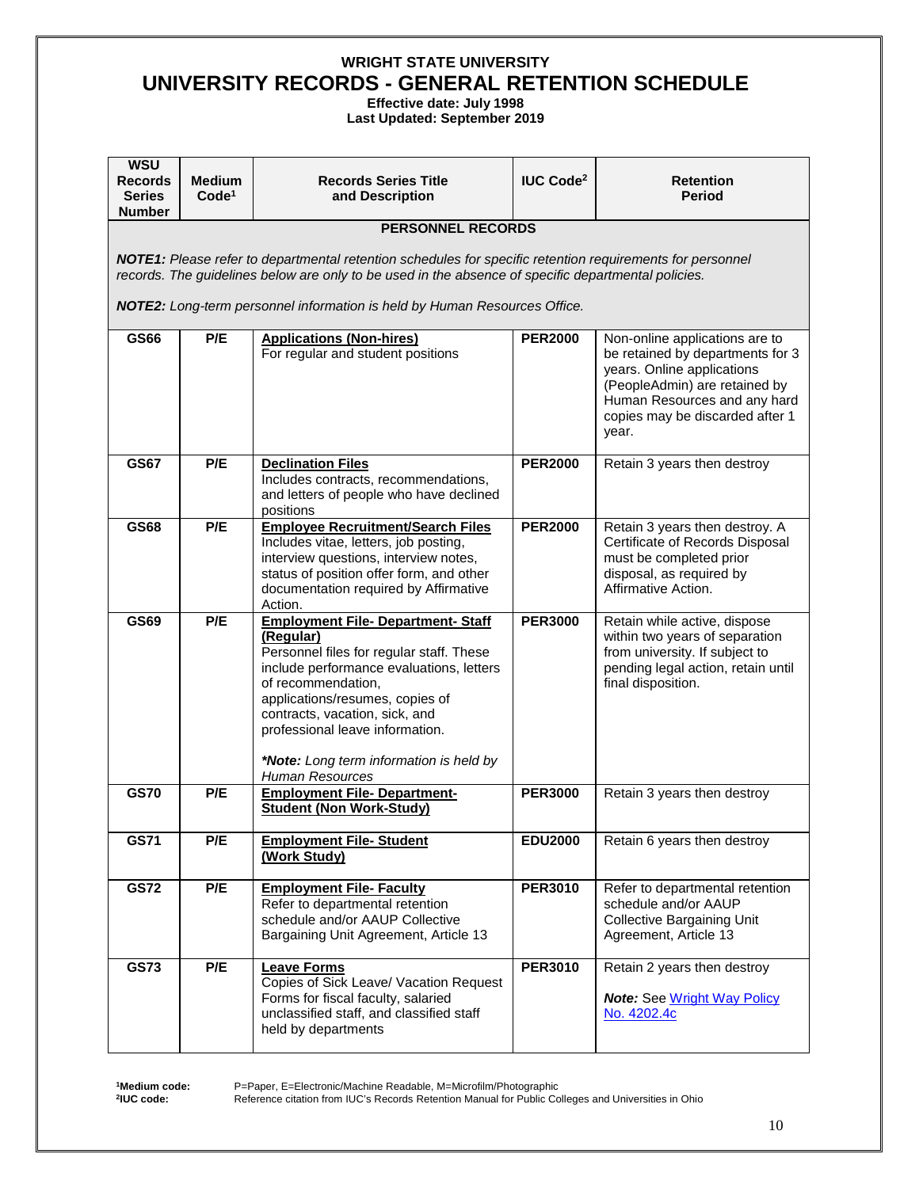**Effective date: July 1998**

**Last Updated: September 2019** 

| <b>WSU</b><br><b>Records</b><br><b>Series</b><br><b>Number</b> | <b>Medium</b><br>Code <sup>1</sup>                                                                                                                                                                                                                                                            | <b>Records Series Title</b><br>and Description                                                                                                                                                                                                                                                                                                    | <b>IUC Code<sup>2</sup></b> | <b>Retention</b><br><b>Period</b>                                                                                                                                                                             |  |  |
|----------------------------------------------------------------|-----------------------------------------------------------------------------------------------------------------------------------------------------------------------------------------------------------------------------------------------------------------------------------------------|---------------------------------------------------------------------------------------------------------------------------------------------------------------------------------------------------------------------------------------------------------------------------------------------------------------------------------------------------|-----------------------------|---------------------------------------------------------------------------------------------------------------------------------------------------------------------------------------------------------------|--|--|
|                                                                |                                                                                                                                                                                                                                                                                               | <b>PERSONNEL RECORDS</b>                                                                                                                                                                                                                                                                                                                          |                             |                                                                                                                                                                                                               |  |  |
|                                                                | NOTE1: Please refer to departmental retention schedules for specific retention requirements for personnel<br>records. The guidelines below are only to be used in the absence of specific departmental policies.<br>NOTE2: Long-term personnel information is held by Human Resources Office. |                                                                                                                                                                                                                                                                                                                                                   |                             |                                                                                                                                                                                                               |  |  |
| GS66                                                           | P/E                                                                                                                                                                                                                                                                                           | <b>Applications (Non-hires)</b><br>For regular and student positions                                                                                                                                                                                                                                                                              | <b>PER2000</b>              | Non-online applications are to<br>be retained by departments for 3<br>years. Online applications<br>(PeopleAdmin) are retained by<br>Human Resources and any hard<br>copies may be discarded after 1<br>year. |  |  |
| <b>GS67</b>                                                    | P/E                                                                                                                                                                                                                                                                                           | <b>Declination Files</b><br>Includes contracts, recommendations,<br>and letters of people who have declined<br>positions                                                                                                                                                                                                                          | <b>PER2000</b>              | Retain 3 years then destroy                                                                                                                                                                                   |  |  |
| <b>GS68</b>                                                    | P/E                                                                                                                                                                                                                                                                                           | <b>Employee Recruitment/Search Files</b><br>Includes vitae, letters, job posting,<br>interview questions, interview notes,<br>status of position offer form, and other<br>documentation required by Affirmative<br>Action.                                                                                                                        | <b>PER2000</b>              | Retain 3 years then destroy. A<br>Certificate of Records Disposal<br>must be completed prior<br>disposal, as required by<br>Affirmative Action.                                                               |  |  |
| <b>GS69</b>                                                    | P/E                                                                                                                                                                                                                                                                                           | <b>Employment File- Department- Staff</b><br>(Regular)<br>Personnel files for regular staff. These<br>include performance evaluations, letters<br>of recommendation,<br>applications/resumes, copies of<br>contracts, vacation, sick, and<br>professional leave information.<br>*Note: Long term information is held by<br><b>Human Resources</b> | <b>PER3000</b>              | Retain while active, dispose<br>within two years of separation<br>from university. If subject to<br>pending legal action, retain until<br>final disposition.                                                  |  |  |
| <b>GS70</b>                                                    | P/E                                                                                                                                                                                                                                                                                           | <b>Employment File- Department-</b><br><b>Student (Non Work-Study)</b>                                                                                                                                                                                                                                                                            | <b>PER3000</b>              | Retain 3 years then destroy                                                                                                                                                                                   |  |  |
| <b>GS71</b>                                                    | P/E                                                                                                                                                                                                                                                                                           | <b>Employment File- Student</b><br>(Work Study)                                                                                                                                                                                                                                                                                                   | <b>EDU2000</b>              | Retain 6 years then destroy                                                                                                                                                                                   |  |  |
| <b>GS72</b>                                                    | P/E                                                                                                                                                                                                                                                                                           | <b>Employment File- Faculty</b><br>Refer to departmental retention<br>schedule and/or AAUP Collective<br>Bargaining Unit Agreement, Article 13                                                                                                                                                                                                    | <b>PER3010</b>              | Refer to departmental retention<br>schedule and/or AAUP<br><b>Collective Bargaining Unit</b><br>Agreement, Article 13                                                                                         |  |  |
| <b>GS73</b>                                                    | P/E                                                                                                                                                                                                                                                                                           | <b>Leave Forms</b><br>Copies of Sick Leave/ Vacation Request<br>Forms for fiscal faculty, salaried<br>unclassified staff, and classified staff<br>held by departments                                                                                                                                                                             | <b>PER3010</b>              | Retain 2 years then destroy<br><b>Note:</b> See Wright Way Policy<br>No. 4202.4c                                                                                                                              |  |  |

**1Medium code: 2IUC code:**

P=Paper, E=Electronic/Machine Readable, M=Microfilm/Photographic